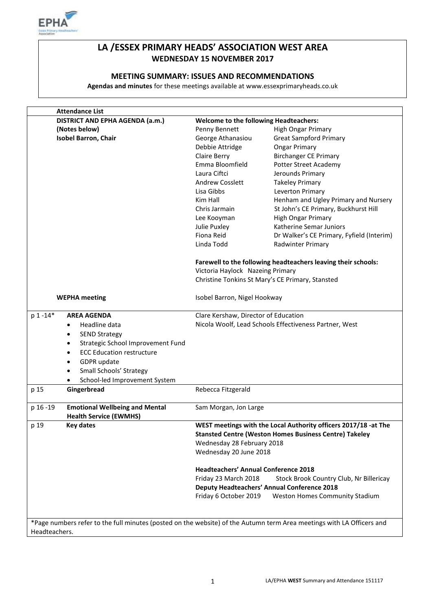

# **LA /ESSEX PRIMARY HEADS' ASSOCIATION WEST AREA WEDNESDAY 15 NOVEMBER 2017**

#### **MEETING SUMMARY: ISSUES AND RECOMMENDATIONS**

**Agendas and minutes** for these meetings available at www.essexprimaryheads.co.uk

| <b>Attendance List</b>                                                                                                |                                               |                                                                 |  |
|-----------------------------------------------------------------------------------------------------------------------|-----------------------------------------------|-----------------------------------------------------------------|--|
| DISTRICT AND EPHA AGENDA (a.m.)                                                                                       | <b>Welcome to the following Headteachers:</b> |                                                                 |  |
| (Notes below)                                                                                                         | Penny Bennett                                 | <b>High Ongar Primary</b>                                       |  |
| <b>Isobel Barron, Chair</b>                                                                                           | George Athanasiou                             | <b>Great Sampford Primary</b>                                   |  |
|                                                                                                                       | Debbie Attridge                               | <b>Ongar Primary</b>                                            |  |
|                                                                                                                       | Claire Berry                                  | <b>Birchanger CE Primary</b>                                    |  |
|                                                                                                                       | Emma Bloomfield                               | <b>Potter Street Academy</b>                                    |  |
|                                                                                                                       | Laura Ciftci                                  | Jerounds Primary                                                |  |
|                                                                                                                       | <b>Andrew Cosslett</b>                        | <b>Takeley Primary</b>                                          |  |
|                                                                                                                       | Lisa Gibbs                                    | Leverton Primary                                                |  |
|                                                                                                                       | Kim Hall                                      | Henham and Ugley Primary and Nursery                            |  |
|                                                                                                                       | Chris Jarmain                                 | St John's CE Primary, Buckhurst Hill                            |  |
|                                                                                                                       | Lee Kooyman                                   | <b>High Ongar Primary</b>                                       |  |
|                                                                                                                       | Julie Puxley                                  | Katherine Semar Juniors                                         |  |
|                                                                                                                       | Fiona Reid                                    | Dr Walker's CE Primary, Fyfield (Interim)                       |  |
|                                                                                                                       | Linda Todd                                    |                                                                 |  |
|                                                                                                                       |                                               | Radwinter Primary                                               |  |
|                                                                                                                       |                                               | Farewell to the following headteachers leaving their schools:   |  |
|                                                                                                                       |                                               | Victoria Haylock Nazeing Primary                                |  |
|                                                                                                                       |                                               | Christine Tonkins St Mary's CE Primary, Stansted                |  |
|                                                                                                                       |                                               |                                                                 |  |
| <b>WEPHA</b> meeting                                                                                                  | Isobel Barron, Nigel Hookway                  |                                                                 |  |
| p 1 -14*<br><b>AREA AGENDA</b>                                                                                        |                                               | Clare Kershaw, Director of Education                            |  |
| Headline data<br>$\bullet$                                                                                            |                                               | Nicola Woolf, Lead Schools Effectiveness Partner, West          |  |
| <b>SEND Strategy</b><br>$\bullet$                                                                                     |                                               |                                                                 |  |
| Strategic School Improvement Fund<br>$\bullet$                                                                        |                                               |                                                                 |  |
| <b>ECC Education restructure</b><br>$\bullet$                                                                         |                                               |                                                                 |  |
| GDPR update<br>$\bullet$                                                                                              |                                               |                                                                 |  |
| Small Schools' Strategy<br>٠                                                                                          |                                               |                                                                 |  |
|                                                                                                                       |                                               |                                                                 |  |
| School-led Improvement System                                                                                         |                                               |                                                                 |  |
| Gingerbread<br>p 15                                                                                                   | Rebecca Fitzgerald                            |                                                                 |  |
| <b>Emotional Wellbeing and Mental</b><br>p 16 - 19                                                                    | Sam Morgan, Jon Large                         |                                                                 |  |
| <b>Health Service (EWMHS)</b>                                                                                         |                                               |                                                                 |  |
| p 19<br><b>Key dates</b>                                                                                              |                                               | WEST meetings with the Local Authority officers 2017/18 -at The |  |
|                                                                                                                       |                                               | <b>Stansted Centre (Weston Homes Business Centre) Takeley</b>   |  |
|                                                                                                                       | Wednesday 28 February 2018                    |                                                                 |  |
|                                                                                                                       | Wednesday 20 June 2018                        |                                                                 |  |
|                                                                                                                       |                                               |                                                                 |  |
|                                                                                                                       | <b>Headteachers' Annual Conference 2018</b>   |                                                                 |  |
|                                                                                                                       | Friday 23 March 2018                          | Stock Brook Country Club, Nr Billericay                         |  |
|                                                                                                                       |                                               | <b>Deputy Headteachers' Annual Conference 2018</b>              |  |
|                                                                                                                       | Friday 6 October 2019                         | <b>Weston Homes Community Stadium</b>                           |  |
|                                                                                                                       |                                               |                                                                 |  |
|                                                                                                                       |                                               |                                                                 |  |
| *Page numbers refer to the full minutes (posted on the website) of the Autumn term Area meetings with LA Officers and |                                               |                                                                 |  |
| Headteachers.                                                                                                         |                                               |                                                                 |  |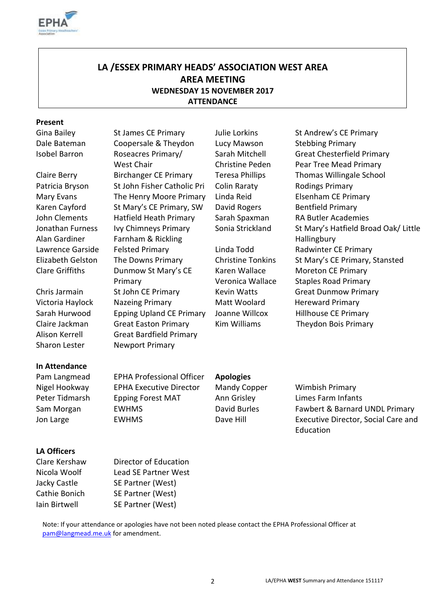

# **LA /ESSEX PRIMARY HEADS' ASSOCIATION WEST AREA AREA MEETING WEDNESDAY 15 NOVEMBER 2017 ATTENDANCE**

#### **Present**

Jonathan Furness Alan Gardiner

Sharon Lester Newport Primary

Dale Bateman Coopersale & Theydon Lucy Mawson Stebbing Primary Isobel Barron Roseacres Primary/ West Chair Claire Berry Birchanger CE Primary Teresa Phillips Thomas Willingale School Patricia Bryson St John Fisher Catholic Pri Colin Raraty Rodings Primary Mary Evans The Henry Moore Primary Linda Reid Elsenham CE Primary Karen Cayford St Mary's CE Primary, SW David Rogers Bentfield Primary John Clements Hatfield Heath Primary Sarah Spaxman RA Butler Academies Ivy Chimneys Primary Farnham & Rickling Lawrence Garside Felsted Primary Linda Todd Radwinter CE Primary Clare Griffiths Dunmow St Mary's CE Primary Chris Jarmain St John CE Primary Kevin Watts Great Dunmow Primary Victoria Haylock Nazeing Primary Matt Woolard Hereward Primary Sarah Hurwood Epping Upland CE Primary Joanne Willcox Hillhouse CE Primary Claire Jackman Great Easton Primary Kim Williams Theydon Bois Primary Alison Kerrell Great Bardfield Primary

Sarah Mitchell Christine Peden

Karen Wallace Veronica Wallace

Gina Bailey St James CE Primary Julie Lorkins St Andrew's CE Primary Great Chesterfield Primary Pear Tree Mead Primary Sonia Strickland St Mary's Hatfield Broad Oak/ Little **Hallingbury** Elizabeth Gelston The Downs Primary Christine Tonkins St Mary's CE Primary, Stansted Moreton CE Primary Staples Road Primary

# **In Attendance**

Pam Langmead EPHA Professional Officer **Apologies** Nigel Hookway EPHA Executive Director Mandy Copper Wimbish Primary Peter Tidmarsh Epping Forest MAT Ann Grisley Limes Farm Infants

Sam Morgan EWHMS **David Burles** Fawbert & Barnard UNDL Primary Jon Large EWHMS Dave Hill Executive Director, Social Care and Education

### **LA Officers**

Clare Kershaw Director of Education

Nicola Woolf Lead SE Partner West Jacky Castle SE Partner (West) Cathie Bonich SE Partner (West) Iain Birtwell SE Partner (West)

Note: If your attendance or apologies have not been noted please contact the EPHA Professional Officer at [pam@langmead.me.uk](mailto:pam@langmead.me.uk) for amendment.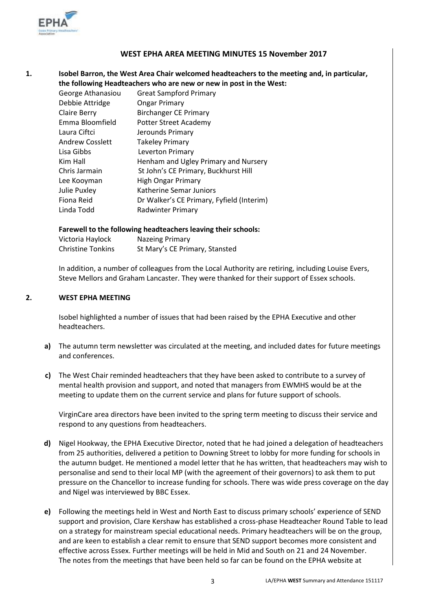

#### **WEST EPHA AREA MEETING MINUTES 15 November 2017**

#### **1. Isobel Barron, the West Area Chair welcomed headteachers to the meeting and, in particular, the following Headteachers who are new or new in post in the West:**

| George Athanasiou   | <b>Great Sampford Primary</b>             |
|---------------------|-------------------------------------------|
| Debbie Attridge     | <b>Ongar Primary</b>                      |
| <b>Claire Berry</b> | <b>Birchanger CE Primary</b>              |
| Emma Bloomfield     | Potter Street Academy                     |
| Laura Ciftci        | Jerounds Primary                          |
| Andrew Cosslett     | <b>Takeley Primary</b>                    |
| Lisa Gibbs          | Leverton Primary                          |
| Kim Hall            | Henham and Ugley Primary and Nursery      |
| Chris Jarmain       | St John's CE Primary, Buckhurst Hill      |
| Lee Kooyman         | <b>High Ongar Primary</b>                 |
| <b>Julie Puxley</b> | Katherine Semar Juniors                   |
| Fiona Reid          | Dr Walker's CE Primary, Fyfield (Interim) |
| Linda Todd          | Radwinter Primary                         |

#### **Farewell to the following headteachers leaving their schools:**

| Victoria Haylock         | Nazeing Primary                |
|--------------------------|--------------------------------|
| <b>Christine Tonkins</b> | St Mary's CE Primary, Stansted |

In addition, a number of colleagues from the Local Authority are retiring, including Louise Evers, Steve Mellors and Graham Lancaster. They were thanked for their support of Essex schools.

#### **2. WEST EPHA MEETING**

Isobel highlighted a number of issues that had been raised by the EPHA Executive and other headteachers.

- **a)** The autumn term newsletter was circulated at the meeting, and included dates for future meetings and conferences.
- **c)** The West Chair reminded headteachers that they have been asked to contribute to a survey of mental health provision and support, and noted that managers from EWMHS would be at the meeting to update them on the current service and plans for future support of schools.

VirginCare area directors have been invited to the spring term meeting to discuss their service and respond to any questions from headteachers.

- **d)** Nigel Hookway, the EPHA Executive Director, noted that he had joined a delegation of headteachers from 25 authorities, delivered a petition to Downing Street to lobby for more funding for schools in the autumn budget. He mentioned a model letter that he has written, that headteachers may wish to personalise and send to their local MP (with the agreement of their governors) to ask them to put pressure on the Chancellor to increase funding for schools. There was wide press coverage on the day and Nigel was interviewed by BBC Essex.
- **e)** Following the meetings held in West and North East to discuss primary schools' experience of SEND support and provision, Clare Kershaw has established a cross-phase Headteacher Round Table to lead on a strategy for mainstream special educational needs. Primary headteachers will be on the group, and are keen to establish a clear remit to ensure that SEND support becomes more consistent and effective across Essex. Further meetings will be held in Mid and South on 21 and 24 November. The notes from the meetings that have been held so far can be found on the EPHA website at